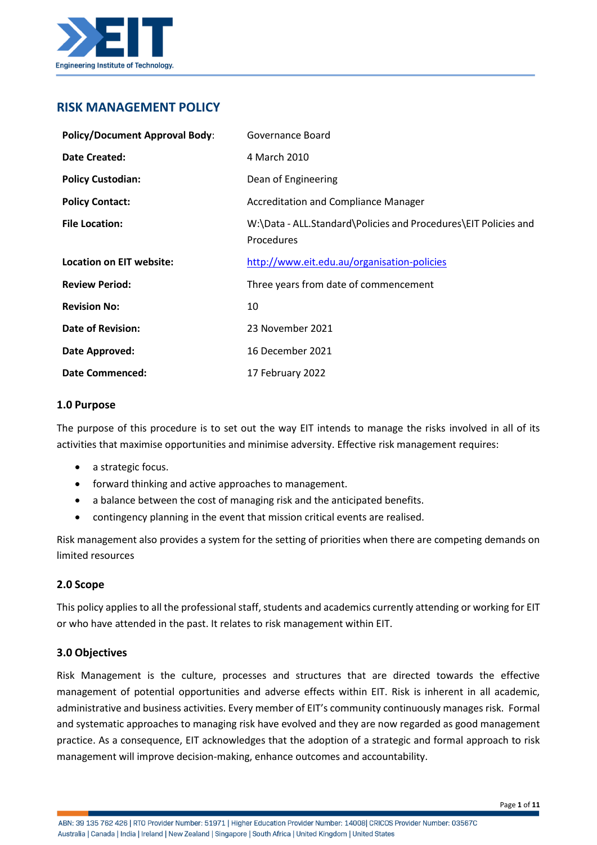

# **RISK MANAGEMENT POLICY**

| <b>Policy/Document Approval Body:</b> | Governance Board                                                              |
|---------------------------------------|-------------------------------------------------------------------------------|
| Date Created:                         | 4 March 2010                                                                  |
| <b>Policy Custodian:</b>              | Dean of Engineering                                                           |
| <b>Policy Contact:</b>                | <b>Accreditation and Compliance Manager</b>                                   |
| <b>File Location:</b>                 | W:\Data - ALL.Standard\Policies and Procedures\EIT Policies and<br>Procedures |
| <b>Location on EIT website:</b>       | http://www.eit.edu.au/organisation-policies                                   |
| <b>Review Period:</b>                 | Three years from date of commencement                                         |
| <b>Revision No:</b>                   | 10                                                                            |
| <b>Date of Revision:</b>              | 23 November 2021                                                              |
| Date Approved:                        | 16 December 2021                                                              |
| <b>Date Commenced:</b>                | 17 February 2022                                                              |

#### **1.0 Purpose**

The purpose of this procedure is to set out the way EIT intends to manage the risks involved in all of its activities that maximise opportunities and minimise adversity. Effective risk management requires:

- a strategic focus.
- forward thinking and active approaches to management.
- a balance between the cost of managing risk and the anticipated benefits.
- contingency planning in the event that mission critical events are realised.

Risk management also provides a system for the setting of priorities when there are competing demands on limited resources

# **2.0 Scope**

This policy applies to all the professional staff, students and academics currently attending or working for EIT or who have attended in the past. It relates to risk management within EIT.

# **3.0 Objectives**

Risk Management is the culture, processes and structures that are directed towards the effective management of potential opportunities and adverse effects within EIT. Risk is inherent in all academic, administrative and business activities. Every member of EIT's community continuously manages risk. Formal and systematic approaches to managing risk have evolved and they are now regarded as good management practice. As a consequence, EIT acknowledges that the adoption of a strategic and formal approach to risk management will improve decision-making, enhance outcomes and accountability.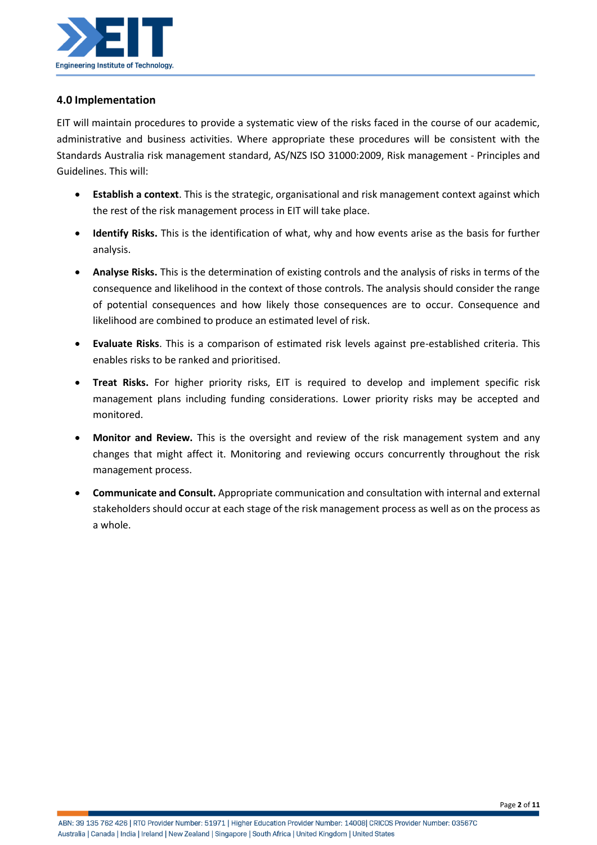

# **4.0 Implementation**

EIT will maintain procedures to provide a systematic view of the risks faced in the course of our academic, administrative and business activities. Where appropriate these procedures will be consistent with the Standards Australia risk management standard, AS/NZS ISO 31000:2009, Risk management - Principles and Guidelines. This will:

- **Establish a context**. This is the strategic, organisational and risk management context against which the rest of the risk management process in EIT will take place.
- **Identify Risks.** This is the identification of what, why and how events arise as the basis for further analysis.
- **Analyse Risks.** This is the determination of existing controls and the analysis of risks in terms of the consequence and likelihood in the context of those controls. The analysis should consider the range of potential consequences and how likely those consequences are to occur. Consequence and likelihood are combined to produce an estimated level of risk.
- **Evaluate Risks**. This is a comparison of estimated risk levels against pre-established criteria. This enables risks to be ranked and prioritised.
- **Treat Risks.** For higher priority risks, EIT is required to develop and implement specific risk management plans including funding considerations. Lower priority risks may be accepted and monitored.
- **Monitor and Review.** This is the oversight and review of the risk management system and any changes that might affect it. Monitoring and reviewing occurs concurrently throughout the risk management process.
- **Communicate and Consult.** Appropriate communication and consultation with internal and external stakeholders should occur at each stage of the risk management process as well as on the process as a whole.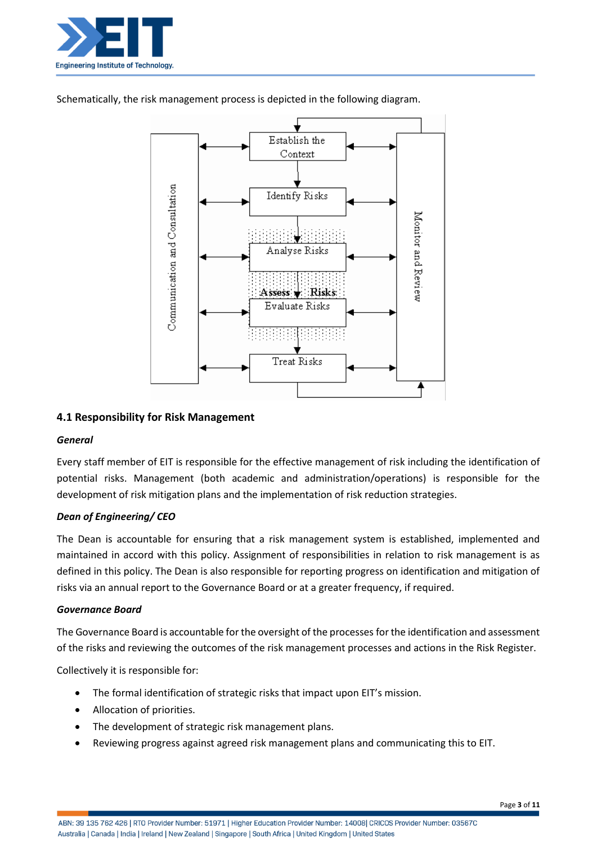



Schematically, the risk management process is depicted in the following diagram.

# **4.1 Responsibility for Risk Management**

#### *General*

Every staff member of EIT is responsible for the effective management of risk including the identification of potential risks. Management (both academic and administration/operations) is responsible for the development of risk mitigation plans and the implementation of risk reduction strategies.

#### *Dean of Engineering/ CEO*

The Dean is accountable for ensuring that a risk management system is established, implemented and maintained in accord with this policy. Assignment of responsibilities in relation to risk management is as defined in this policy. The Dean is also responsible for reporting progress on identification and mitigation of risks via an annual report to the Governance Board or at a greater frequency, if required.

#### *Governance Board*

The Governance Board is accountable for the oversight of the processes for the identification and assessment of the risks and reviewing the outcomes of the risk management processes and actions in the Risk Register.

Collectively it is responsible for:

- The formal identification of strategic risks that impact upon EIT's mission.
- Allocation of priorities.
- The development of strategic risk management plans.
- Reviewing progress against agreed risk management plans and communicating this to EIT.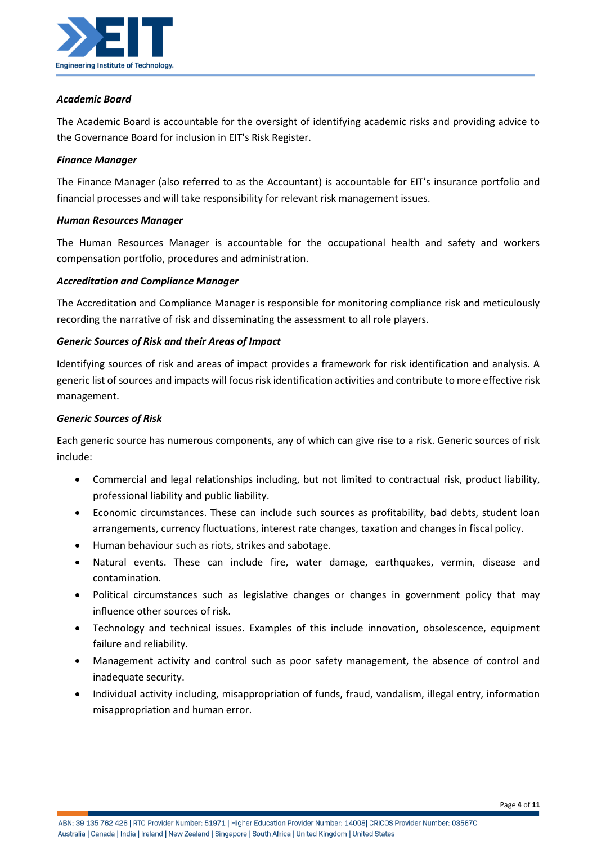

### *Academic Board*

The Academic Board is accountable for the oversight of identifying academic risks and providing advice to the Governance Board for inclusion in EIT's Risk Register.

#### *Finance Manager*

The Finance Manager (also referred to as the Accountant) is accountable for EIT's insurance portfolio and financial processes and will take responsibility for relevant risk management issues.

### *Human Resources Manager*

The Human Resources Manager is accountable for the occupational health and safety and workers compensation portfolio, procedures and administration.

### *Accreditation and Compliance Manager*

The Accreditation and Compliance Manager is responsible for monitoring compliance risk and meticulously recording the narrative of risk and disseminating the assessment to all role players.

### *Generic Sources of Risk and their Areas of Impact*

Identifying sources of risk and areas of impact provides a framework for risk identification and analysis. A generic list of sources and impacts will focus risk identification activities and contribute to more effective risk management.

#### *Generic Sources of Risk*

Each generic source has numerous components, any of which can give rise to a risk. Generic sources of risk include:

- Commercial and legal relationships including, but not limited to contractual risk, product liability, professional liability and public liability.
- Economic circumstances. These can include such sources as profitability, bad debts, student loan arrangements, currency fluctuations, interest rate changes, taxation and changes in fiscal policy.
- Human behaviour such as riots, strikes and sabotage.
- Natural events. These can include fire, water damage, earthquakes, vermin, disease and contamination.
- Political circumstances such as legislative changes or changes in government policy that may influence other sources of risk.
- Technology and technical issues. Examples of this include innovation, obsolescence, equipment failure and reliability.
- Management activity and control such as poor safety management, the absence of control and inadequate security.
- Individual activity including, misappropriation of funds, fraud, vandalism, illegal entry, information misappropriation and human error.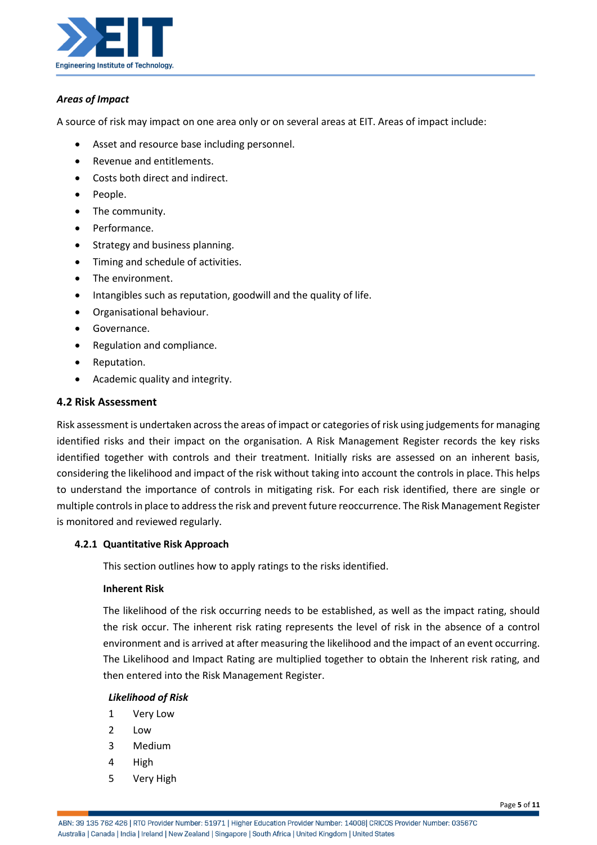

#### *Areas of Impact*

A source of risk may impact on one area only or on several areas at EIT. Areas of impact include:

- Asset and resource base including personnel.
- Revenue and entitlements.
- Costs both direct and indirect.
- People.
- The community.
- Performance.
- Strategy and business planning.
- Timing and schedule of activities.
- The environment.
- Intangibles such as reputation, goodwill and the quality of life.
- Organisational behaviour.
- Governance.
- Regulation and compliance.
- Reputation.
- Academic quality and integrity.

#### **4.2 Risk Assessment**

Risk assessment is undertaken across the areas of impact or categories of risk using judgements for managing identified risks and their impact on the organisation. A Risk Management Register records the key risks identified together with controls and their treatment. Initially risks are assessed on an inherent basis, considering the likelihood and impact of the risk without taking into account the controls in place. This helps to understand the importance of controls in mitigating risk. For each risk identified, there are single or multiple controls in place to address the risk and prevent future reoccurrence. The Risk Management Register is monitored and reviewed regularly.

#### **4.2.1 Quantitative Risk Approach**

This section outlines how to apply ratings to the risks identified.

#### **Inherent Risk**

The likelihood of the risk occurring needs to be established, as well as the impact rating, should the risk occur. The inherent risk rating represents the level of risk in the absence of a control environment and is arrived at after measuring the likelihood and the impact of an event occurring. The Likelihood and Impact Rating are multiplied together to obtain the Inherent risk rating, and then entered into the Risk Management Register.

#### *Likelihood of Risk*

- 1 Very Low
- 2 Low
- 3 Medium
- 4 High
- 5 Very High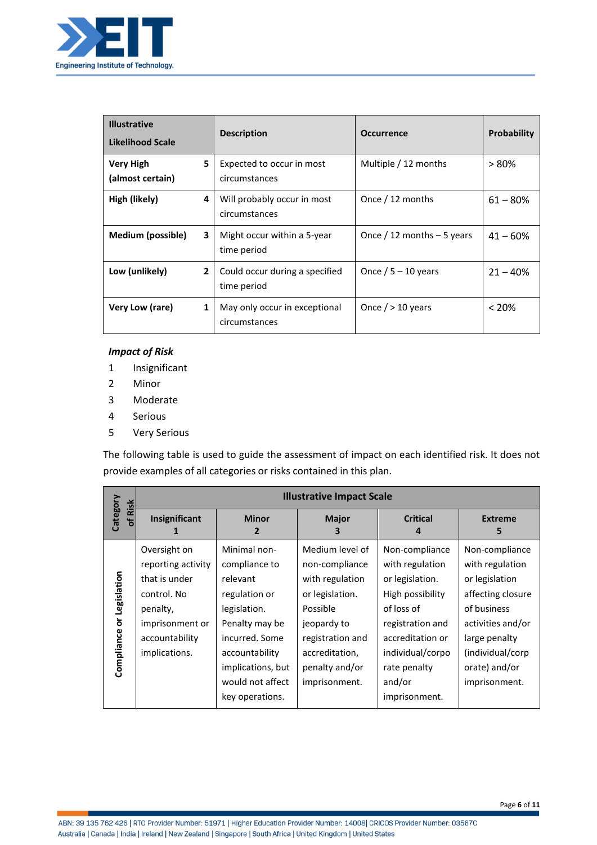

| <b>Illustrative</b><br><b>Likelihood Scale</b> | <b>Description</b>                             | <b>Occurrence</b>           | <b>Probability</b> |
|------------------------------------------------|------------------------------------------------|-----------------------------|--------------------|
| 5<br>Very High<br>(almost certain)             | Expected to occur in most<br>circumstances     | Multiple / 12 months        | $> 80\%$           |
| High (likely)<br>4                             | Will probably occur in most<br>circumstances   | Once / 12 months            | $61 - 80%$         |
| Medium (possible)<br>3                         | Might occur within a 5-year<br>time period     | Once / 12 months $-5$ years | $41 - 60%$         |
| Low (unlikely)<br>$\overline{2}$               | Could occur during a specified<br>time period  | Once / $5 - 10$ years       | $21 - 40%$         |
| Very Low (rare)<br>1                           | May only occur in exceptional<br>circumstances | Once $/$ > 10 years         | $< 20\%$           |

### *Impact of Risk*

- 1 Insignificant
- 2 Minor
- 3 Moderate
- 4 Serious
- 5 Very Serious

The following table is used to guide the assessment of impact on each identified risk. It does not provide examples of all categories or risks contained in this plan.

|                                | <b>Illustrative Impact Scale</b>                                                                                                     |                                                                                                                                                                                              |                                                                                                                                                                             |                                                                                                                                                                                               |                                                                                                                                                                                     |  |
|--------------------------------|--------------------------------------------------------------------------------------------------------------------------------------|----------------------------------------------------------------------------------------------------------------------------------------------------------------------------------------------|-----------------------------------------------------------------------------------------------------------------------------------------------------------------------------|-----------------------------------------------------------------------------------------------------------------------------------------------------------------------------------------------|-------------------------------------------------------------------------------------------------------------------------------------------------------------------------------------|--|
| Category<br>of Risk            | Insignificant                                                                                                                        | <b>Minor</b><br>2                                                                                                                                                                            | <b>Major</b><br>з                                                                                                                                                           | <b>Critical</b>                                                                                                                                                                               | <b>Extreme</b><br>5                                                                                                                                                                 |  |
| Legislation<br>ŏ<br>Compliance | Oversight on<br>reporting activity<br>that is under<br>control. No<br>penalty,<br>imprisonment or<br>accountability<br>implications. | Minimal non-<br>compliance to<br>relevant<br>regulation or<br>legislation.<br>Penalty may be<br>incurred. Some<br>accountability<br>implications, but<br>would not affect<br>key operations. | Medium level of<br>non-compliance<br>with regulation<br>or legislation.<br>Possible<br>jeopardy to<br>registration and<br>accreditation,<br>penalty and/or<br>imprisonment. | Non-compliance<br>with regulation<br>or legislation.<br>High possibility<br>of loss of<br>registration and<br>accreditation or<br>individual/corpo<br>rate penalty<br>and/or<br>imprisonment. | Non-compliance<br>with regulation<br>or legislation<br>affecting closure<br>of business<br>activities and/or<br>large penalty<br>(individual/corp<br>orate) and/or<br>imprisonment. |  |

ABN: 39 135 762 426 | RTO Provider Number: 51971 | Higher Education Provider Number: 14008| CRICOS Provider Number: 03567C Australia | Canada | India | Ireland | New Zealand | Singapore | South Africa | United Kingdom | United States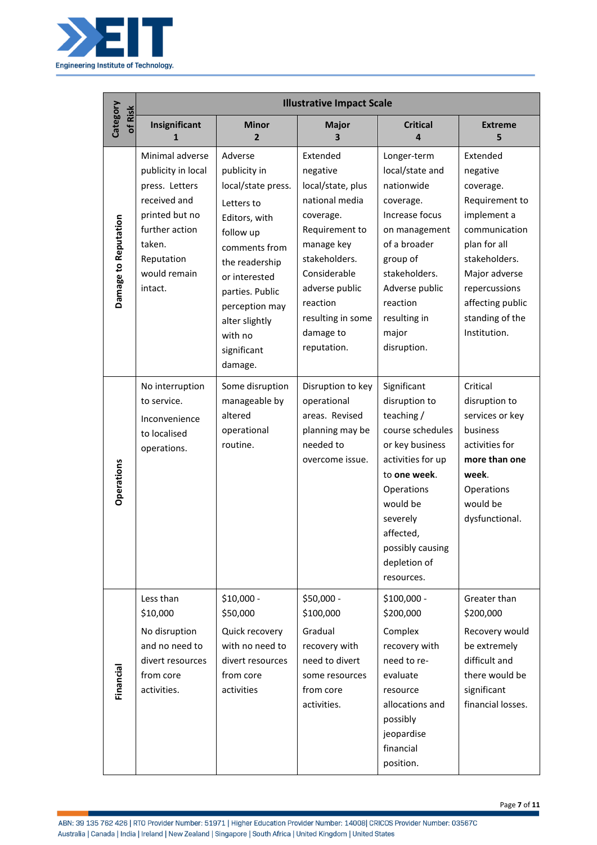

|                      | <b>Illustrative Impact Scale</b>                                                                                                                               |                                                                                                                                                                                                                                           |                                                                                                                                                                                                                          |                                                                                                                                                                                                                             |                                                                                                                                                                                                               |
|----------------------|----------------------------------------------------------------------------------------------------------------------------------------------------------------|-------------------------------------------------------------------------------------------------------------------------------------------------------------------------------------------------------------------------------------------|--------------------------------------------------------------------------------------------------------------------------------------------------------------------------------------------------------------------------|-----------------------------------------------------------------------------------------------------------------------------------------------------------------------------------------------------------------------------|---------------------------------------------------------------------------------------------------------------------------------------------------------------------------------------------------------------|
| Category<br>of Risk  | Insignificant<br>1                                                                                                                                             | <b>Minor</b><br>$\overline{2}$                                                                                                                                                                                                            | Major<br>3                                                                                                                                                                                                               | <b>Critical</b><br>Δ                                                                                                                                                                                                        | <b>Extreme</b><br>5                                                                                                                                                                                           |
| Damage to Reputation | Minimal adverse<br>publicity in local<br>press. Letters<br>received and<br>printed but no<br>further action<br>taken.<br>Reputation<br>would remain<br>intact. | Adverse<br>publicity in<br>local/state press.<br>Letters to<br>Editors, with<br>follow up<br>comments from<br>the readership<br>or interested<br>parties. Public<br>perception may<br>alter slightly<br>with no<br>significant<br>damage. | Extended<br>negative<br>local/state, plus<br>national media<br>coverage.<br>Requirement to<br>manage key<br>stakeholders.<br>Considerable<br>adverse public<br>reaction<br>resulting in some<br>damage to<br>reputation. | Longer-term<br>local/state and<br>nationwide<br>coverage.<br>Increase focus<br>on management<br>of a broader<br>group of<br>stakeholders.<br>Adverse public<br>reaction<br>resulting in<br>major<br>disruption.             | Extended<br>negative<br>coverage.<br>Requirement to<br>implement a<br>communication<br>plan for all<br>stakeholders.<br>Major adverse<br>repercussions<br>affecting public<br>standing of the<br>Institution. |
| <b>Operations</b>    | No interruption<br>to service.<br>Inconvenience<br>to localised<br>operations.                                                                                 | Some disruption<br>manageable by<br>altered<br>operational<br>routine.                                                                                                                                                                    | Disruption to key<br>operational<br>areas. Revised<br>planning may be<br>needed to<br>overcome issue.                                                                                                                    | Significant<br>disruption to<br>teaching /<br>course schedules<br>or key business<br>activities for up<br>to one week.<br>Operations<br>would be<br>severely<br>affected,<br>possibly causing<br>depletion of<br>resources. | Critical<br>disruption to<br>services or key<br>business<br>activities for<br>more than one<br>week.<br>Operations<br>would be<br>dysfunctional.                                                              |
| Financial            | Less than<br>\$10,000<br>No disruption<br>and no need to<br>divert resources<br>from core<br>activities.                                                       | $$10,000 -$<br>\$50,000<br>Quick recovery<br>with no need to<br>divert resources<br>from core<br>activities                                                                                                                               | \$50,000 -<br>\$100,000<br>Gradual<br>recovery with<br>need to divert<br>some resources<br>from core<br>activities.                                                                                                      | \$100,000 -<br>\$200,000<br>Complex<br>recovery with<br>need to re-<br>evaluate<br>resource<br>allocations and<br>possibly<br>jeopardise<br>financial<br>position.                                                          | Greater than<br>\$200,000<br>Recovery would<br>be extremely<br>difficult and<br>there would be<br>significant<br>financial losses.                                                                            |

ABN: 39 135 762 426 | RTO Provider Number: 51971 | Higher Education Provider Number: 14008| CRICOS Provider Number: 03567C Australia | Canada | India | Ireland | New Zealand | Singapore | South Africa | United Kingdom | United States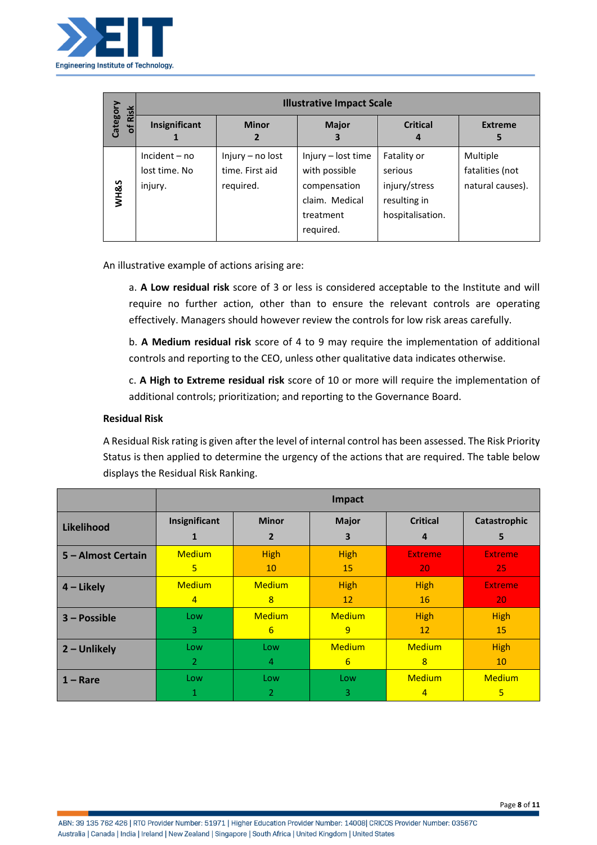

| Risk     | <b>Illustrative Impact Scale</b>            |                                                  |                                                                                                 |                                                                             |                                                 |
|----------|---------------------------------------------|--------------------------------------------------|-------------------------------------------------------------------------------------------------|-----------------------------------------------------------------------------|-------------------------------------------------|
| Category | Insignificant<br>1                          | <b>Minor</b><br>2                                | <b>Major</b><br>З                                                                               | <b>Critical</b><br>4                                                        | <b>Extreme</b><br>5                             |
| WH&S     | $Incident - no$<br>lost time. No<br>injury. | Injury - no lost<br>time. First aid<br>required. | Injury - lost time<br>with possible<br>compensation<br>claim. Medical<br>treatment<br>required. | Fatality or<br>serious<br>injury/stress<br>resulting in<br>hospitalisation. | Multiple<br>fatalities (not<br>natural causes). |

An illustrative example of actions arising are:

a. **A Low residual risk** score of 3 or less is considered acceptable to the Institute and will require no further action, other than to ensure the relevant controls are operating effectively. Managers should however review the controls for low risk areas carefully.

b. **A Medium residual risk** score of 4 to 9 may require the implementation of additional controls and reporting to the CEO, unless other qualitative data indicates otherwise.

c. **A High to Extreme residual risk** score of 10 or more will require the implementation of additional controls; prioritization; and reporting to the Governance Board.

### **Residual Risk**

A Residual Risk rating is given after the level of internal control has been assessed. The Risk Priority Status is then applied to determine the urgency of the actions that are required. The table below displays the Residual Risk Ranking.

|                    |                |                  | Impact        |                 |                |
|--------------------|----------------|------------------|---------------|-----------------|----------------|
| Likelihood         | Insignificant  | <b>Minor</b>     | <b>Major</b>  | <b>Critical</b> | Catastrophic   |
|                    | 1              | $\overline{2}$   | 3             | 4               | 5              |
| 5 - Almost Certain | <b>Medium</b>  | <b>High</b>      | <b>High</b>   | <b>Extreme</b>  | <b>Extreme</b> |
|                    | 5              | 10               | 15            | 20              | 25             |
| $4$ – Likely       | <b>Medium</b>  | <b>Medium</b>    | <b>High</b>   | <b>High</b>     | <b>Extreme</b> |
|                    | $\overline{4}$ | 8                | 12            | 16              | 20             |
| $3 - Possible$     | Low            | <b>Medium</b>    | <b>Medium</b> | High            | <b>High</b>    |
|                    | 3              | $6 \overline{6}$ | 9             | 12              | 15             |
| $2 -$ Unlikely     | Low            | Low              | <b>Medium</b> | <b>Medium</b>   | <b>High</b>    |
|                    | $\overline{2}$ | 4                | 6             | 8               | 10             |
| $1 -$ Rare         | Low            | Low              | Low           | <b>Medium</b>   | <b>Medium</b>  |
|                    | 1              | 2                | 3             | $\overline{4}$  | 5              |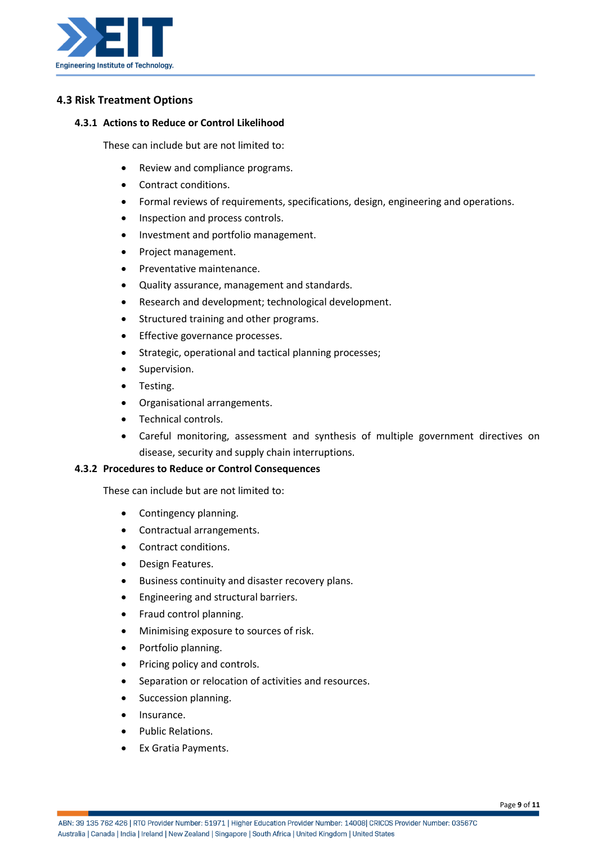

# **4.3 Risk Treatment Options**

#### **4.3.1 Actions to Reduce or Control Likelihood**

These can include but are not limited to:

- Review and compliance programs.
- Contract conditions.
- Formal reviews of requirements, specifications, design, engineering and operations.
- Inspection and process controls.
- Investment and portfolio management.
- Project management.
- Preventative maintenance.
- Quality assurance, management and standards.
- Research and development; technological development.
- Structured training and other programs.
- Effective governance processes.
- Strategic, operational and tactical planning processes;
- Supervision.
- Testing.
- Organisational arrangements.
- Technical controls.
- Careful monitoring, assessment and synthesis of multiple government directives on disease, security and supply chain interruptions.

#### **4.3.2 Procedures to Reduce or Control Consequences**

These can include but are not limited to:

- Contingency planning.
- Contractual arrangements.
- Contract conditions.
- Design Features.
- Business continuity and disaster recovery plans.
- Engineering and structural barriers.
- Fraud control planning.
- Minimising exposure to sources of risk.
- Portfolio planning.
- Pricing policy and controls.
- Separation or relocation of activities and resources.
- Succession planning.
- Insurance.
- Public Relations.
- Ex Gratia Payments.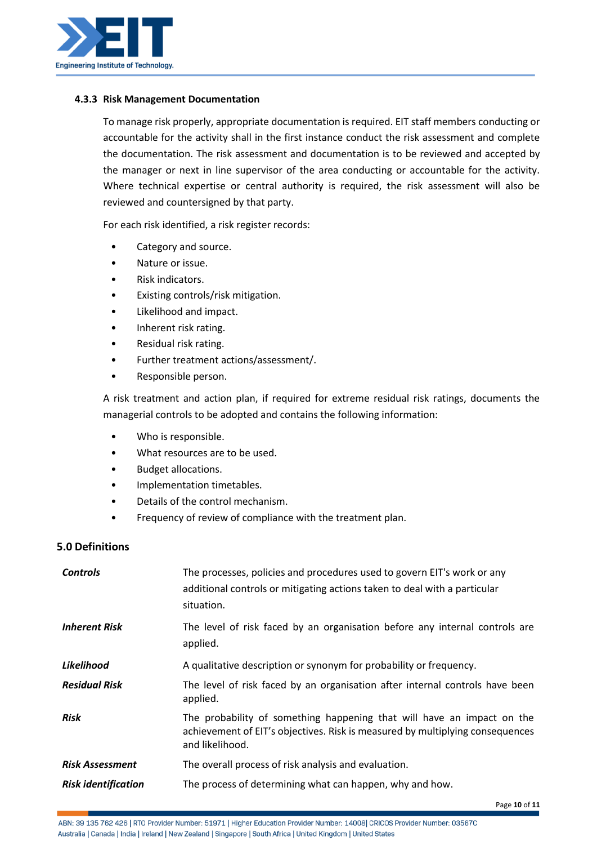

#### **4.3.3 Risk Management Documentation**

To manage risk properly, appropriate documentation is required. EIT staff members conducting or accountable for the activity shall in the first instance conduct the risk assessment and complete the documentation. The risk assessment and documentation is to be reviewed and accepted by the manager or next in line supervisor of the area conducting or accountable for the activity. Where technical expertise or central authority is required, the risk assessment will also be reviewed and countersigned by that party.

For each risk identified, a risk register records:

- Category and source.
- Nature or issue.
- Risk indicators.
- Existing controls/risk mitigation.
- Likelihood and impact.
- Inherent risk rating.
- Residual risk rating.
- Further treatment actions/assessment/.
- Responsible person.

A risk treatment and action plan, if required for extreme residual risk ratings, documents the managerial controls to be adopted and contains the following information:

- Who is responsible.
- What resources are to be used.
- Budget allocations.
- Implementation timetables.
- Details of the control mechanism.
- Frequency of review of compliance with the treatment plan.

## **5.0 Definitions**

| <b>Controls</b>            | The processes, policies and procedures used to govern EIT's work or any<br>additional controls or mitigating actions taken to deal with a particular<br>situation.         |
|----------------------------|----------------------------------------------------------------------------------------------------------------------------------------------------------------------------|
| <b>Inherent Risk</b>       | The level of risk faced by an organisation before any internal controls are<br>applied.                                                                                    |
| Likelihood                 | A qualitative description or synonym for probability or frequency.                                                                                                         |
| <b>Residual Risk</b>       | The level of risk faced by an organisation after internal controls have been<br>applied.                                                                                   |
| Risk                       | The probability of something happening that will have an impact on the<br>achievement of EIT's objectives. Risk is measured by multiplying consequences<br>and likelihood. |
| <b>Risk Assessment</b>     | The overall process of risk analysis and evaluation.                                                                                                                       |
| <b>Risk identification</b> | The process of determining what can happen, why and how.                                                                                                                   |